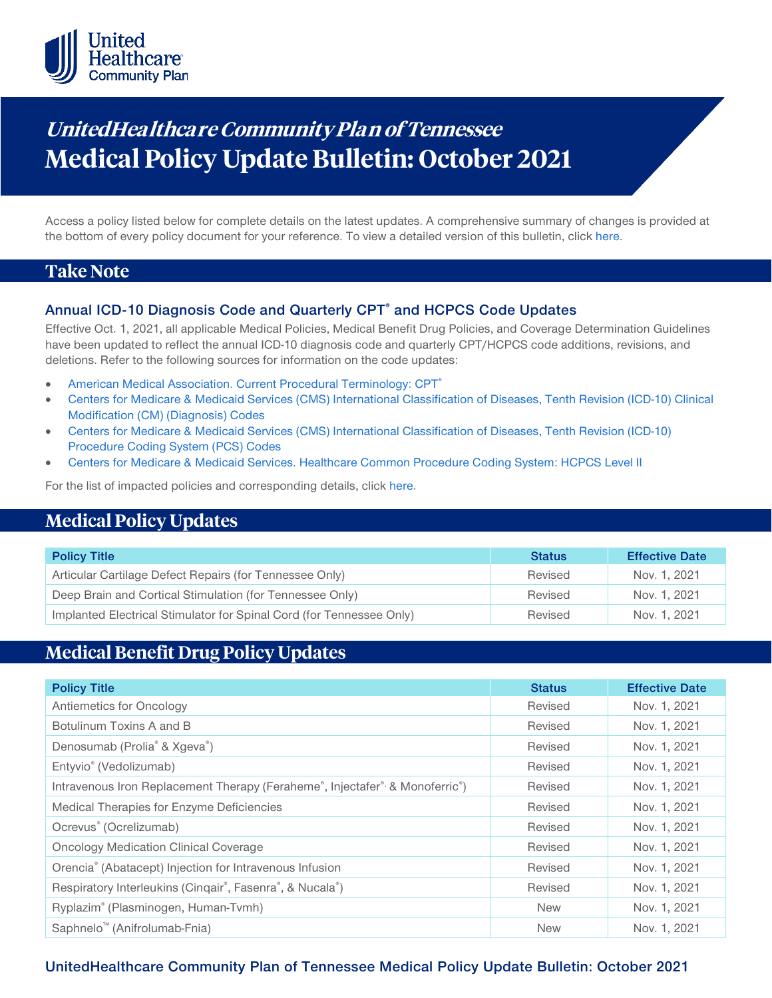

# **UnitedHealthca re Community Plan of Tennessee Medical Policy Update Bulletin: October 2021**

Access a policy listed below for complete details on the latest updates. A comprehensive summary of changes is provided at the bottom of every policy document for your reference. To view a detailed version of this bulletin, clic[k here.](https://www.uhcprovider.com/content/dam/provider/docs/public/policies/mpub-archives/comm-plan/tn/community-plan-tn-medical-policy-update-bulletin-october-2021-full.pdf)

## **Take Note**

#### **Annual ICD-10 Diagnosis Code and Quarterly CPT® and HCPCS Code Updates**

Effective Oct. 1, 2021, all applicable Medical Policies, Medical Benefit Drug Policies, and Coverage Determination Guidelines have been updated to reflect the annual ICD-10 diagnosis code and quarterly CPT/HCPCS code additions, revisions, and deletions. Refer to the following sources for information on the code updates:

- [American Medical Association. Current Procedural Terminology: CPT®](https://www.ama-assn.org/practice-management/cpt)
- [Centers for Medicare & Medicaid Services \(CMS\) International Classification of Diseases, Tenth Revision \(ICD-10\) Clinical](https://www.cms.gov/medicare/icd-10/2021-icd-10-cm)  [Modification \(CM\) \(Diagnosis\) Codes](https://www.cms.gov/medicare/icd-10/2021-icd-10-cm)
- [Centers for Medicare & Medicaid Services \(CMS\) International Classification of Diseases, Tenth Revision \(ICD-10\)](https://www.cms.gov/medicare/icd-10/2021-icd-10-pcs)  [Procedure Coding System \(PCS\) Codes](https://www.cms.gov/medicare/icd-10/2021-icd-10-pcs)
- [Centers for Medicare & Medicaid Services. Healthcare Common Procedure Coding System: HCPCS Level II](https://www.cms.gov/Medicare/Coding/MedHCPCSGenInfo/index.html)

For the list of impacted policies and corresponding details, click [here.](https://www.uhcprovider.com/content/dam/provider/docs/public/policies/mpub-archives/comm-plan/tn/community-plan-tn-medical-policy-update-bulletin-october-2021-full.pdf)

## **Medical Policy Updates**

| <b>Policy Title</b>                                                  | <b>Status</b> | <b>Effective Date</b> |
|----------------------------------------------------------------------|---------------|-----------------------|
| Articular Cartilage Defect Repairs (for Tennessee Only)              | Revised       | Nov. 1, 2021          |
| Deep Brain and Cortical Stimulation (for Tennessee Only)             | Revised       | Nov. 1, 2021          |
| Implanted Electrical Stimulator for Spinal Cord (for Tennessee Only) | Revised       | Nov. 1, 2021          |

## **Medical Benefit Drug Policy Updates**

| <b>Policy Title</b>                                                                                                | <b>Status</b> | <b>Effective Date</b> |
|--------------------------------------------------------------------------------------------------------------------|---------------|-----------------------|
| Antiemetics for Oncology                                                                                           | Revised       | Nov. 1, 2021          |
| Botulinum Toxins A and B                                                                                           | Revised       | Nov. 1, 2021          |
| Denosumab (Prolia <sup>®</sup> & Xgeva <sup>®</sup> )                                                              | Revised       | Nov. 1, 2021          |
| Entyvio® (Vedolizumab)                                                                                             | Revised       | Nov. 1, 2021          |
| Intravenous Iron Replacement Therapy (Feraheme <sup>®</sup> , Injectafer <sup>®,</sup> & Monoferric <sup>®</sup> ) | Revised       | Nov. 1, 2021          |
| Medical Therapies for Enzyme Deficiencies                                                                          | Revised       | Nov. 1, 2021          |
| Ocrevus <sup>®</sup> (Ocrelizumab)                                                                                 | Revised       | Nov. 1, 2021          |
| <b>Oncology Medication Clinical Coverage</b>                                                                       | Revised       | Nov. 1, 2021          |
| Orencia® (Abatacept) Injection for Intravenous Infusion                                                            | Revised       | Nov. 1, 2021          |
| Respiratory Interleukins (Cinqair®, Fasenra®, & Nucala®)                                                           | Revised       | Nov. 1, 2021          |
| Ryplazim® (Plasminogen, Human-Tvmh)                                                                                | <b>New</b>    | Nov. 1, 2021          |
| Saphnelo <sup>™</sup> (Anifrolumab-Fnia)                                                                           | <b>New</b>    | Nov. 1, 2021          |

### **UnitedHealthcare Community Plan of Tennessee Medical Policy Update Bulletin: October 2021**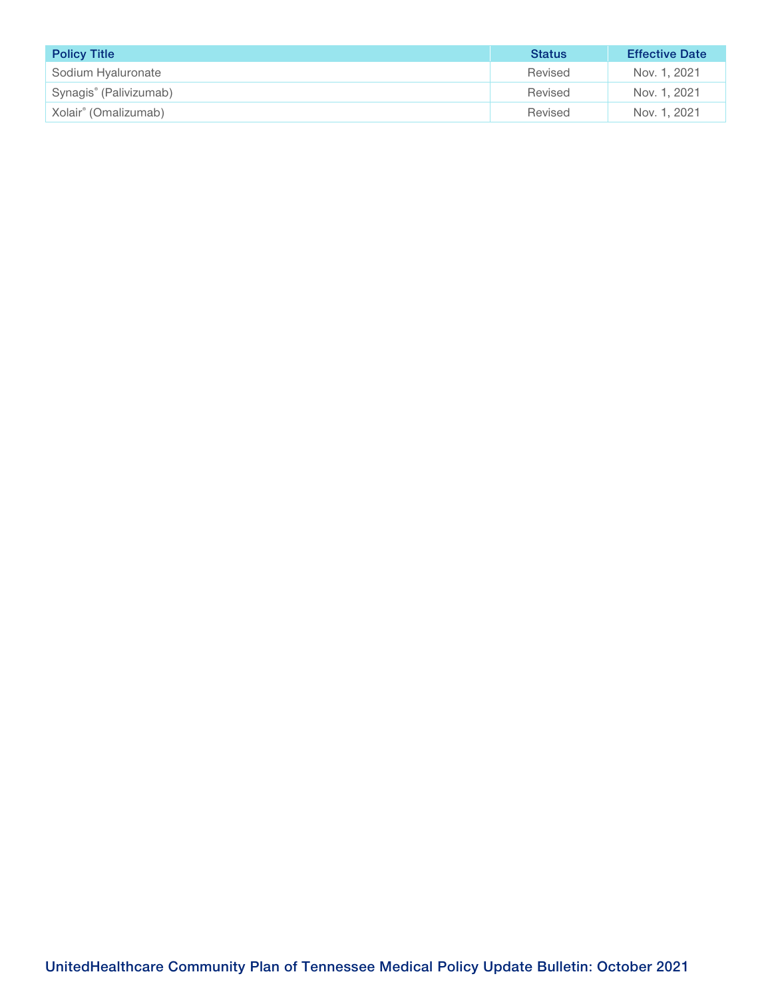| <b>Policy Title</b>                | <b>Status</b> | <b>Effective Date</b> |
|------------------------------------|---------------|-----------------------|
| Sodium Hyaluronate                 | Revised       | Nov. 1, 2021          |
| Synagis <sup>®</sup> (Palivizumab) | Revised       | Nov. 1, 2021          |
| Xolair <sup>®</sup> (Omalizumab)   | Revised       | Nov. 1, 2021          |